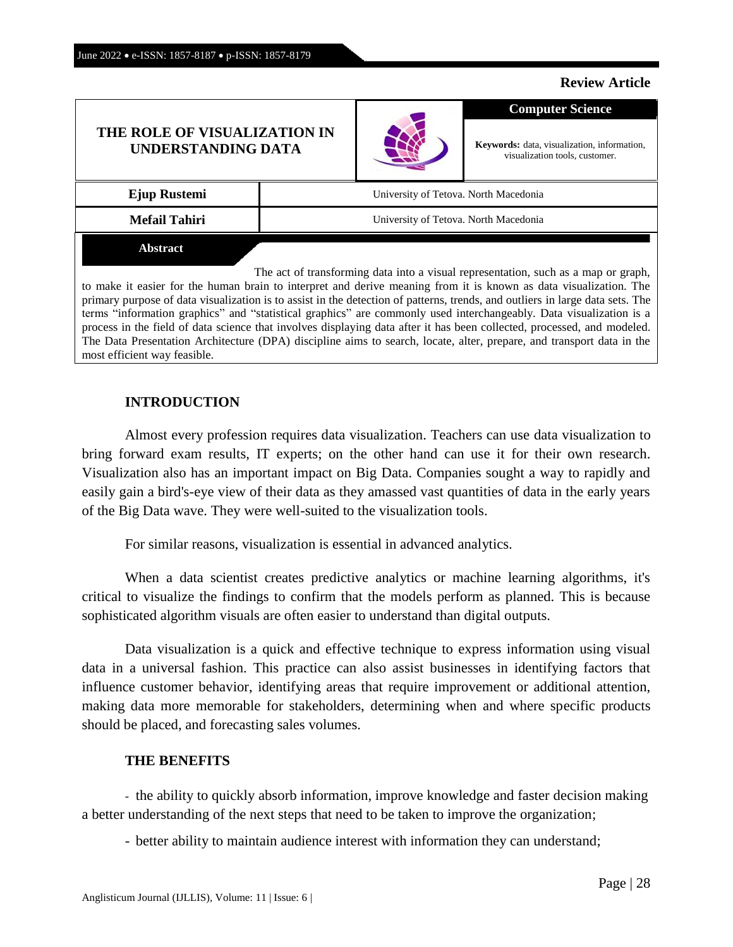## **Review Article**

# **THE ROLE OF VISUALIZATION IN UNDERSTANDING DATA**



**Keywords:** data, visualization, information, visualization tools, customer.

**Computer Science**

| Ejup Rustemi                                                                       | University of Tetova. North Macedonia |  |
|------------------------------------------------------------------------------------|---------------------------------------|--|
| <b>Mefail Tahiri</b>                                                               | University of Tetova. North Macedonia |  |
| <b>Abstract</b>                                                                    |                                       |  |
| The act of transforming data into a visual representation, such as a map or graph, |                                       |  |

to make it easier for the human brain to interpret and derive meaning from it is known as data visualization. The primary purpose of data visualization is to assist in the detection of patterns, trends, and outliers in large data sets. The terms "information graphics" and "statistical graphics" are commonly used interchangeably. Data visualization is a process in the field of data science that involves displaying data after it has been collected, processed, and modeled. The Data Presentation Architecture (DPA) discipline aims to search, locate, alter, prepare, and transport data in the most efficient way feasible.

## **INTRODUCTION**

Almost every profession requires data visualization. Teachers can use data visualization to bring forward exam results, IT experts; on the other hand can use it for their own research. Visualization also has an important impact on Big Data. Companies sought a way to rapidly and easily gain a bird's-eye view of their data as they amassed vast quantities of data in the early years of the Big Data wave. They were well-suited to the visualization tools.

For similar reasons, visualization is essential in advanced analytics.

When a data scientist creates predictive analytics or machine learning algorithms, it's critical to visualize the findings to confirm that the models perform as planned. This is because sophisticated algorithm visuals are often easier to understand than digital outputs.

Data visualization is a quick and effective technique to express information using visual data in a universal fashion. This practice can also assist businesses in identifying factors that influence customer behavior, identifying areas that require improvement or additional attention, making data more memorable for stakeholders, determining when and where specific products should be placed, and forecasting sales volumes.

#### **THE BENEFITS**

- the ability to quickly absorb information, improve knowledge and faster [decision](http://actualiteinformatique.fr/definition/definition-decision-making) making a better understanding of the next steps that need to be taken to improve the organization;

- better ability to maintain audience interest with information they can understand;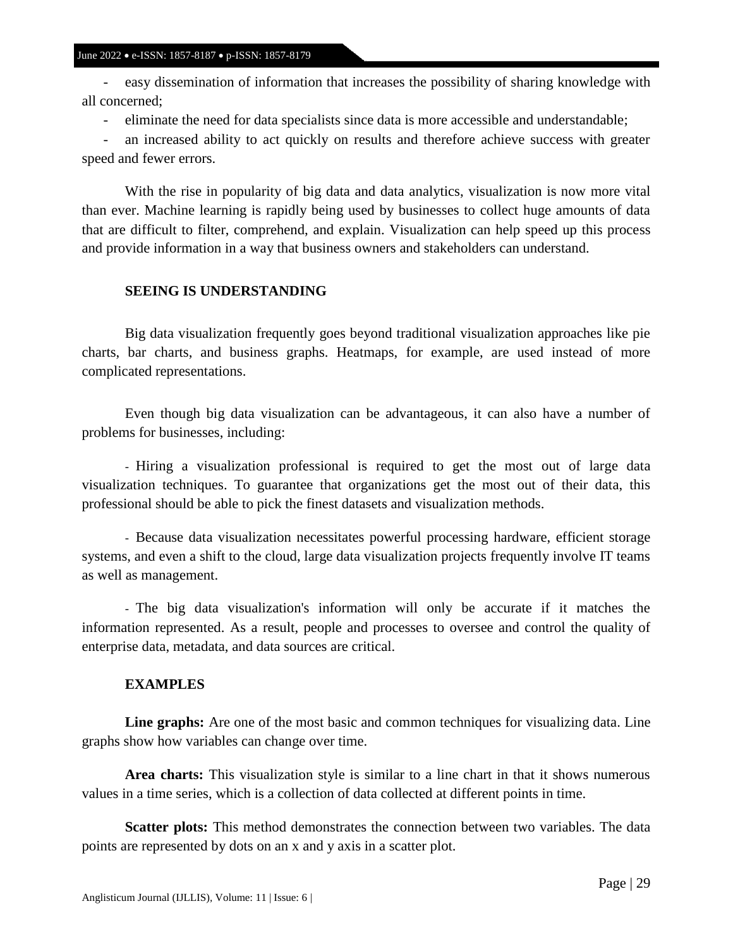- easy dissemination of information that increases the possibility of sharing knowledge with all concerned;

- eliminate the need for data specialists since data is more accessible and understandable;

- an increased ability to act quickly on results and therefore achieve success with greater speed and fewer errors.

With the rise in popularity of big data and data analytics, visualization is now more vital than ever. Machine learning is rapidly being used by businesses to collect huge amounts of data that are difficult to filter, comprehend, and explain. Visualization can help speed up this process and provide information in a way that business owners and stakeholders can understand.

## **SEEING IS UNDERSTANDING**

Big data visualization frequently goes beyond traditional visualization approaches like pie charts, bar charts, and business graphs. Heatmaps, for example, are used instead of more complicated representations.

Even though big data visualization can be advantageous, it can also have a number of problems for businesses, including:

- Hiring a visualization professional is required to get the most out of large data visualization techniques. To guarantee that organizations get the most out of their data, this professional should be able to pick the finest datasets and visualization methods.

- Because data visualization necessitates powerful processing hardware, efficient storage systems, and even a shift to the cloud, large data visualization projects frequently involve IT teams as well as management.

- The big data visualization's information will only be accurate if it matches the information represented. As a result, people and processes to oversee and control the quality of enterprise data, metadata, and data sources are critical.

## **EXAMPLES**

**Line graphs:** Are one of the most basic and common techniques for visualizing data. Line graphs show how variables can change over time.

**Area charts:** This visualization style is similar to a line chart in that it shows numerous values in a time series, which is a collection of data collected at different points in time.

**Scatter plots:** This method demonstrates the connection between two variables. The data points are represented by dots on an x and y axis in a scatter plot.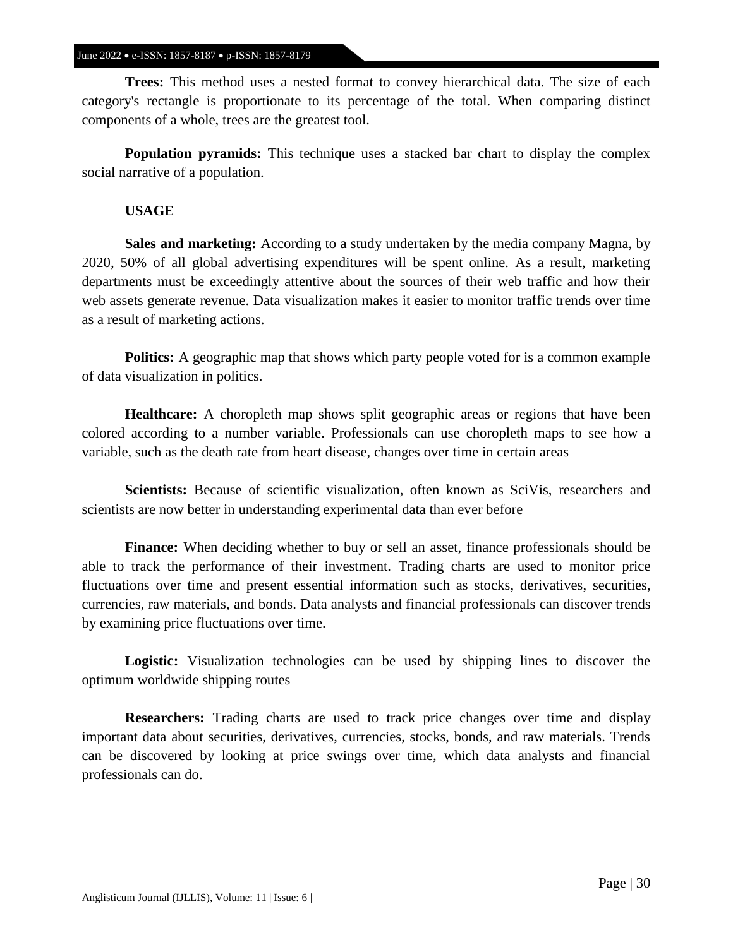#### June 2022 • e-ISSN: 1857-8187 • p-ISSN: 1857-8179

**Trees:** This method uses a nested format to convey hierarchical data. The size of each category's rectangle is proportionate to its percentage of the total. When comparing distinct components of a whole, trees are the greatest tool.

**Population pyramids:** This technique uses a stacked bar chart to display the complex social narrative of a population.

#### **USAGE**

**Sales and marketing:** According to a study undertaken by the media company Magna, by 2020, 50% of all global advertising expenditures will be spent online. As a result, marketing departments must be exceedingly attentive about the sources of their web traffic and how their web assets generate revenue. Data visualization makes it easier to monitor traffic trends over time as a result of marketing actions.

**Politics:** A geographic map that shows which party people voted for is a common example of data visualization in politics.

**Healthcare:** A choropleth map shows split geographic areas or regions that have been colored according to a number variable. Professionals can use choropleth maps to see how a variable, such as the death rate from heart disease, changes over time in certain areas

**Scientists:** Because of scientific visualization, often known as SciVis, researchers and scientists are now better in understanding experimental data than ever before

**Finance:** When deciding whether to buy or sell an asset, finance professionals should be able to track the performance of their investment. Trading charts are used to monitor price fluctuations over time and present essential information such as stocks, derivatives, securities, currencies, raw materials, and bonds. Data analysts and financial professionals can discover trends by examining price fluctuations over time.

**Logistic:** Visualization technologies can be used by shipping lines to discover the optimum worldwide shipping routes

**Researchers:** Trading charts are used to track price changes over time and display important data about securities, derivatives, currencies, stocks, bonds, and raw materials. Trends can be discovered by looking at price swings over time, which data analysts and financial professionals can do.